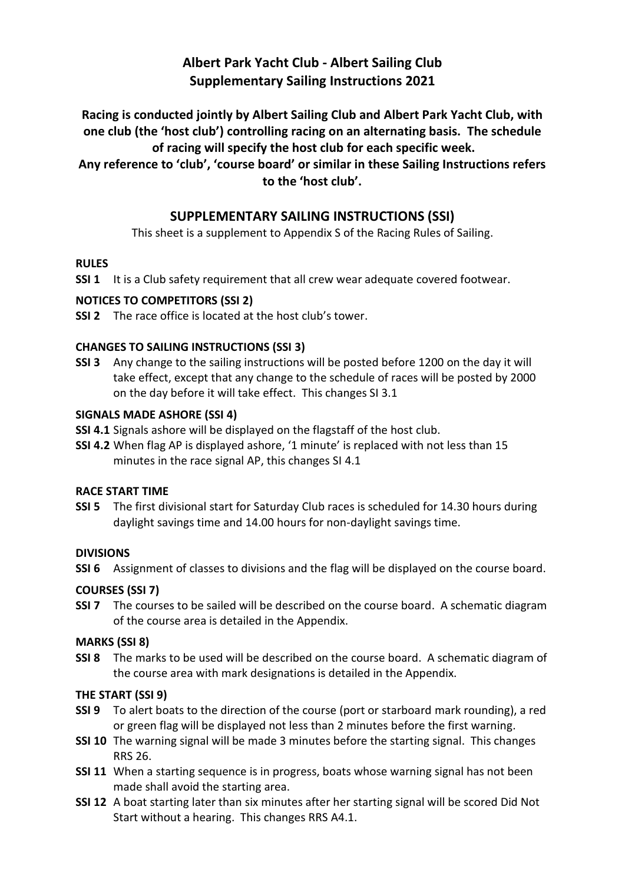# **Albert Park Yacht Club - Albert Sailing Club Supplementary Sailing Instructions 2021**

**Racing is conducted jointly by Albert Sailing Club and Albert Park Yacht Club, with one club (the 'host club') controlling racing on an alternating basis. The schedule of racing will specify the host club for each specific week.**

**Any reference to 'club', 'course board' or similar in these Sailing Instructions refers to the 'host club'.**

# **SUPPLEMENTARY SAILING INSTRUCTIONS (SSI)**

This sheet is a supplement to Appendix S of the Racing Rules of Sailing.

### **RULES**

**SSI 1** It is a Club safety requirement that all crew wear adequate covered footwear.

### **NOTICES TO COMPETITORS (SSI 2)**

**SSI 2** The race office is located at the host club's tower.

### **CHANGES TO SAILING INSTRUCTIONS (SSI 3)**

**SSI 3** Any change to the sailing instructions will be posted before 1200 on the day it will take effect, except that any change to the schedule of races will be posted by 2000 on the day before it will take effect. This changes SI 3.1

### **SIGNALS MADE ASHORE (SSI 4)**

- **SSI 4.1** Signals ashore will be displayed on the flagstaff of the host club.
- **SSI 4.2** When flag AP is displayed ashore, '1 minute' is replaced with not less than 15 minutes in the race signal AP, this changes SI 4.1

### **RACE START TIME**

**SSI 5** The first divisional start for Saturday Club races is scheduled for 14.30 hours during daylight savings time and 14.00 hours for non-daylight savings time.

### **DIVISIONS**

**SSI 6** Assignment of classes to divisions and the flag will be displayed on the course board.

# **COURSES (SSI 7)**

**SSI 7** The courses to be sailed will be described on the course board. A schematic diagram of the course area is detailed in the Appendix.

# **MARKS (SSI 8)**

**SSI 8** The marks to be used will be described on the course board. A schematic diagram of the course area with mark designations is detailed in the Appendix.

# **THE START (SSI 9)**

- **SSI 9** To alert boats to the direction of the course (port or starboard mark rounding), a red or green flag will be displayed not less than 2 minutes before the first warning.
- **SSI 10** The warning signal will be made 3 minutes before the starting signal. This changes RRS 26.
- **SSI 11** When a starting sequence is in progress, boats whose warning signal has not been made shall avoid the starting area.
- **SSI 12** A boat starting later than six minutes after her starting signal will be scored Did Not Start without a hearing. This changes RRS A4.1.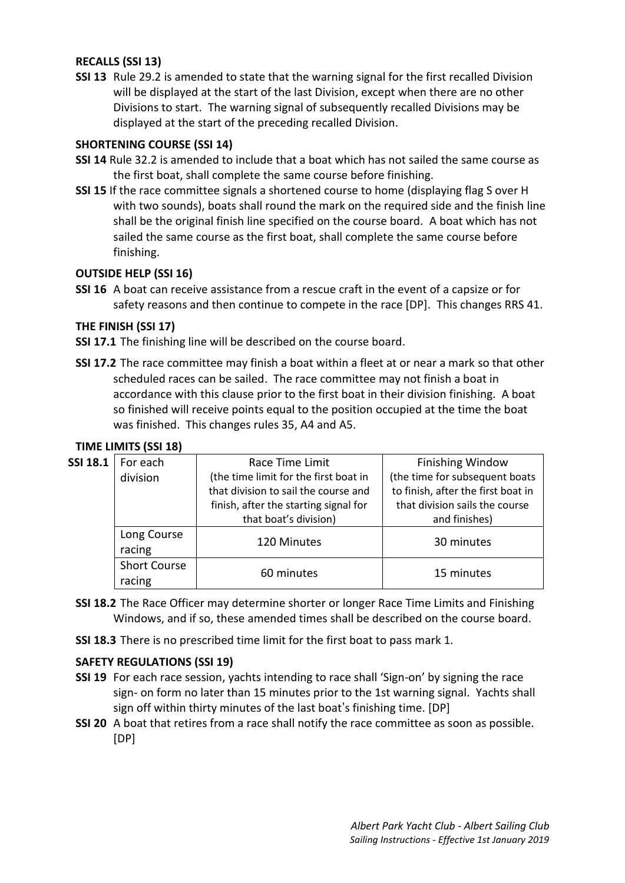### **RECALLS (SSI 13)**

**SSI 13** Rule 29.2 is amended to state that the warning signal for the first recalled Division will be displayed at the start of the last Division, except when there are no other Divisions to start. The warning signal of subsequently recalled Divisions may be displayed at the start of the preceding recalled Division.

#### **SHORTENING COURSE (SSI 14)**

- **SSI 14** Rule 32.2 is amended to include that a boat which has not sailed the same course as the first boat, shall complete the same course before finishing.
- **SSI 15** If the race committee signals a shortened course to home (displaying flag S over H with two sounds), boats shall round the mark on the required side and the finish line shall be the original finish line specified on the course board. A boat which has not sailed the same course as the first boat, shall complete the same course before finishing.

### **OUTSIDE HELP (SSI 16)**

**SSI 16** A boat can receive assistance from a rescue craft in the event of a capsize or for safety reasons and then continue to compete in the race [DP]. This changes RRS 41.

#### **THE FINISH (SSI 17)**

**SSI 17.1** The finishing line will be described on the course board.

**SSI 17.2** The race committee may finish a boat within a fleet at or near a mark so that other scheduled races can be sailed. The race committee may not finish a boat in accordance with this clause prior to the first boat in their division finishing. A boat so finished will receive points equal to the position occupied at the time the boat was finished. This changes rules 35, A4 and A5.

#### **TIME LIMITS (SSI 18)**

| SSI 18.1 | For each            | Race Time Limit                       | <b>Finishing Window</b>            |
|----------|---------------------|---------------------------------------|------------------------------------|
|          | division            | (the time limit for the first boat in | (the time for subsequent boats     |
|          |                     | that division to sail the course and  | to finish, after the first boat in |
|          |                     | finish, after the starting signal for | that division sails the course     |
|          |                     | that boat's division)                 | and finishes)                      |
|          | Long Course         | 120 Minutes                           | 30 minutes                         |
|          | racing              |                                       |                                    |
|          | <b>Short Course</b> | 60 minutes                            | 15 minutes                         |
|          | racing              |                                       |                                    |
|          |                     |                                       |                                    |

- **SSI 18.2** The Race Officer may determine shorter or longer Race Time Limits and Finishing Windows, and if so, these amended times shall be described on the course board.
- **SSI 18.3** There is no prescribed time limit for the first boat to pass mark 1.

#### **SAFETY REGULATIONS (SSI 19)**

- **SSI 19** For each race session, yachts intending to race shall 'Sign-on' by signing the race sign- on form no later than 15 minutes prior to the 1st warning signal. Yachts shall sign off within thirty minutes of the last boat's finishing time. [DP]
- **SSI 20** A boat that retires from a race shall notify the race committee as soon as possible. [DP]